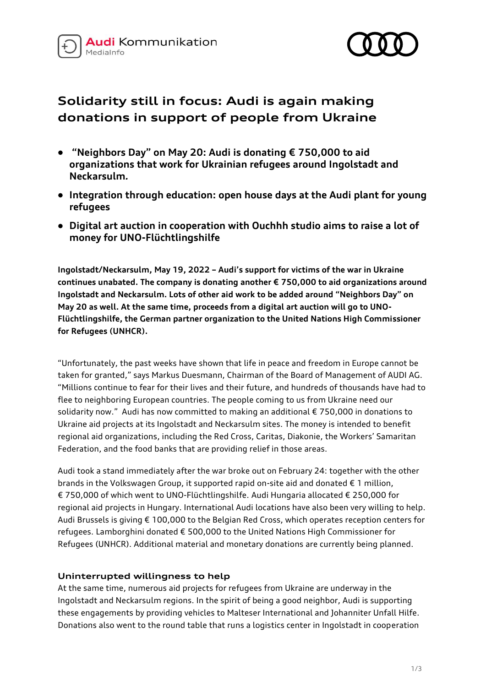



# **Solidarity still in focus: Audi is again making donations in support of people from Ukraine**

- **"Neighbors Day" on May 20: Audi is donating € 750,000 to aid organizations that work for Ukrainian refugees around Ingolstadt and Neckarsulm***.*
- **Integration through education: open house days at the Audi plant for young refugees**
- **Digital art auction in cooperation with Ouchhh studio aims to raise a lot of money for UNO-Flüchtlingshilfe**

**Ingolstadt/Neckarsulm, May 19, 2022 – Audi's support for victims of the war in Ukraine continues unabated. The company is donating another € 750,000 to aid organizations around Ingolstadt and Neckarsulm. Lots of other aid work to be added around "Neighbors Day" on May 20 as well. At the same time, proceeds from a digital art auction will go to UNO-Flüchtlingshilfe, the German partner organization to the United Nations High Commissioner for Refugees (UNHCR).** 

"Unfortunately, the past weeks have shown that life in peace and freedom in Europe cannot be taken for granted," says Markus Duesmann, Chairman of the Board of Management of AUDI AG. "Millions continue to fear for their lives and their future, and hundreds of thousands have had to flee to neighboring European countries. The people coming to us from Ukraine need our solidarity now." Audi has now committed to making an additional € 750,000 in donations to Ukraine aid projects at its Ingolstadt and Neckarsulm sites. The money is intended to benefit regional aid organizations, including the Red Cross, Caritas, Diakonie, the Workers' Samaritan Federation, and the food banks that are providing relief in those areas.

Audi took a stand immediately after the war broke out on February 24: together with the other brands in the Volkswagen Group, it supported rapid on-site aid and donated  $\epsilon$  1 million, € 750,000 of which went to UNO-Flüchtlingshilfe. Audi Hungaria allocated € 250,000 for regional aid projects in Hungary. International Audi locations have also been very willing to help. Audi Brussels is giving € 100,000 to the Belgian Red Cross, which operates reception centers for refugees. Lamborghini donated € 500,000 to the United Nations High Commissioner for Refugees (UNHCR). Additional material and monetary donations are currently being planned.

## **Uninterrupted willingness to help**

At the same time, numerous aid projects for refugees from Ukraine are underway in the Ingolstadt and Neckarsulm regions. In the spirit of being a good neighbor, Audi is supporting these engagements by providing vehicles to Malteser International and Johanniter Unfall Hilfe. Donations also went to the round table that runs a logistics center in Ingolstadt in cooperation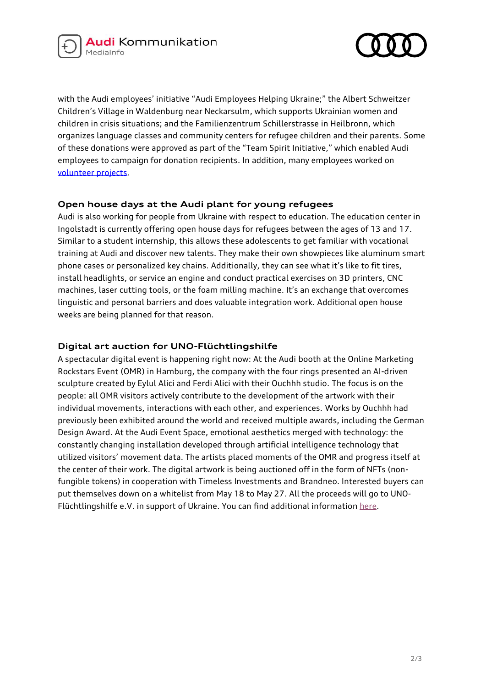



with the Audi employees' initiative "Audi Employees Helping Ukraine;" the Albert Schweitzer Children's Village in Waldenburg near Neckarsulm, which supports Ukrainian women and children in crisis situations; and the Familienzentrum Schillerstrasse in Heilbronn, which organizes language classes and community centers for refugee children and their parents. Some of these donations were approved as part of the "Team Spirit Initiative," which enabled Audi employees to campaign for donation recipients. In addition, many employees worked on [volunteer projects.](https://www.audi-mediacenter.com/de/pressemitteilungen/hilfe-fuer-die-ukraine-audianer_innen-engagieren-sich-ehrenamtlich-14640)

## **Open house days at the Audi plant for young refugees**

Audi is also working for people from Ukraine with respect to education. The education center in Ingolstadt is currently offering open house days for refugees between the ages of 13 and 17. Similar to a student internship, this allows these adolescents to get familiar with vocational training at Audi and discover new talents. They make their own showpieces like aluminum smart phone cases or personalized key chains. Additionally, they can see what it's like to fit tires, install headlights, or service an engine and conduct practical exercises on 3D printers, CNC machines, laser cutting tools, or the foam milling machine. It's an exchange that overcomes linguistic and personal barriers and does valuable integration work. Additional open house weeks are being planned for that reason.

## **Digital art auction for UNO-Flüchtlingshilfe**

A spectacular digital event is happening right now: At the Audi booth at the Online Marketing Rockstars Event (OMR) in Hamburg, the company with the four rings presented an AI-driven sculpture created by Eylul Alici and Ferdi Alici with their Ouchhh studio. The focus is on the people: all OMR visitors actively contribute to the development of the artwork with their individual movements, interactions with each other, and experiences. Works by Ouchhh had previously been exhibited around the world and received multiple awards, including the German Design Award. At the Audi Event Space, emotional aesthetics merged with technology: the constantly changing installation developed through artificial intelligence technology that utilized visitors' movement data. The artists placed moments of the OMR and progress itself at the center of their work. The digital artwork is being auctioned off in the form of NFTs (nonfungible tokens) in cooperation with Timeless Investments and Brandneo. Interested buyers can put themselves down on a whitelist from May 18 to May 27. All the proceeds will go to UNOFlüchtlingshilfe e.V. in support of Ukraine. You can find additional informatio[n here.](https://the-art-of-progress.com/)